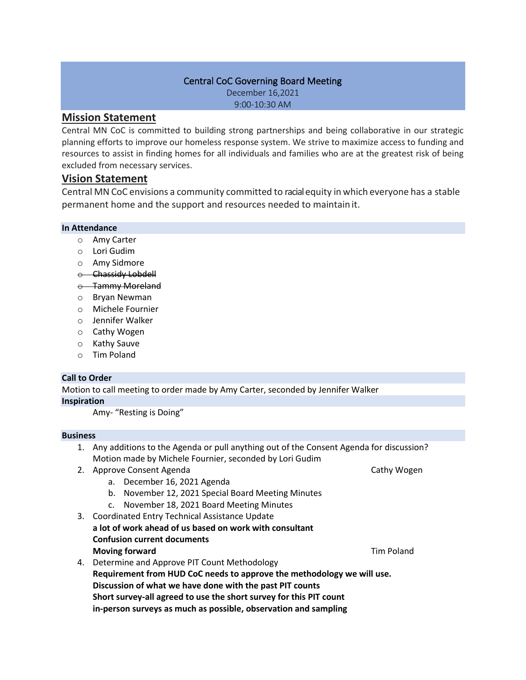### Central CoC Governing Board Meeting

December 16,2021 9:00-10:30 AM

## **Mission Statement**

Central MN CoC is committed to building strong partnerships and being collaborative in our strategic planning efforts to improve our homeless response system. We strive to maximize access to funding and resources to assist in finding homes for all individuals and families who are at the greatest risk of being excluded from necessary services.

# **Vision Statement**

Central MN CoC envisions a community committed to racialequity in which everyone has a stable permanent home and the support and resources needed to maintain it.

# **In Attendance**

- o Amy Carter
- o Lori Gudim
- o Amy Sidmore
- o Chassidy Lobdell
- o Tammy Moreland
- o Bryan Newman
- o Michele Fournier
- o Jennifer Walker
- o Cathy Wogen
- o Kathy Sauve
- o Tim Poland

## **Call to Order**

Motion to call meeting to order made by Amy Carter, seconded by Jennifer Walker **Inspiration**

Amy- "Resting is Doing"

#### **Business**

- 1. Any additions to the Agenda or pull anything out of the Consent Agenda for discussion? Motion made by Michele Fournier, seconded by Lori Gudim
- 2. Approve Consent Agenda Cathy Wogen Cathy Wogen
	- a. December 16, 2021 Agenda
	- b. November 12, 2021 Special Board Meeting Minutes
	- c. November 18, 2021 Board Meeting Minutes
- 3. Coordinated Entry Technical Assistance Update **a lot of work ahead of us based on work with consultant Confusion current documents Moving forward Moving forward Tim Poland Tim Poland**
- 4. Determine and Approve PIT Count Methodology **Requirement from HUD CoC needs to approve the methodology we will use. Discussion of what we have done with the past PIT counts Short survey-all agreed to use the short survey for this PIT count in-person surveys as much as possible, observation and sampling**